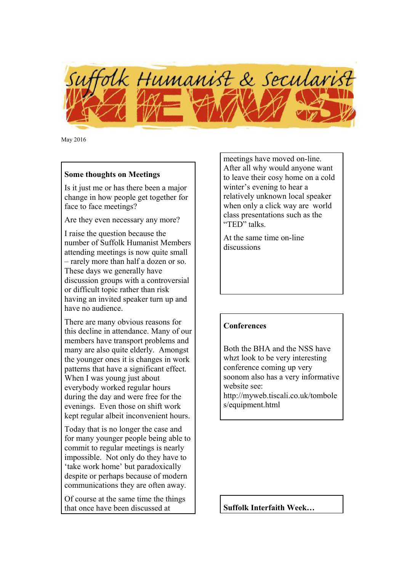

May 2016

### **Some thoughts on Meetings**

Is it just me or has there been a major change in how people get together for face to face meetings?

Are they even necessary any more?

I raise the question because the number of Suffolk Humanist Members attending meetings is now quite small – rarely more than half a dozen or so. These days we generally have discussion groups with a controversial or difficult topic rather than risk having an invited speaker turn up and have no audience.

There are many obvious reasons for this decline in attendance. Many of our members have transport problems and many are also quite elderly. Amongst the younger ones it is changes in work patterns that have a significant effect. When I was young just about everybody worked regular hours during the day and were free for the evenings. Even those on shift work kept regular albeit inconvenient hours.

Today that is no longer the case and for many younger people being able to commit to regular meetings is nearly impossible. Not only do they have to 'take work home' but paradoxically despite or perhaps because of modern communications they are often away.

Of course at the same time the things that once have been discussed at

meetings have moved on-line. After all why would anyone want to leave their cosy home on a cold winter's evening to hear a relatively unknown local speaker when only a click way are world class presentations such as the "TED" talks.

At the same time on-line discussions

## **Conferences**

Both the BHA and the NSS have whzt look to be very interesting conference coming up very soonom also has a very informative website see: http://myweb.tiscali.co.uk/tombole s/equipment.html

**Suffolk Interfaith Week…**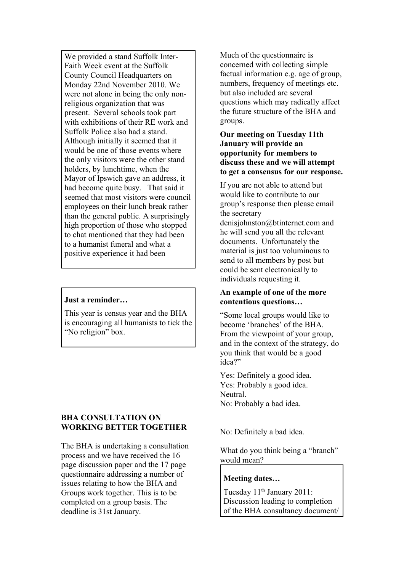We provided a stand Suffolk Inter-Faith Week event at the Suffolk County Council Headquarters on Monday 22nd November 2010. We were not alone in being the only nonreligious organization that was present. Several schools took part with exhibitions of their RE work and Suffolk Police also had a stand. Although initially it seemed that it would be one of those events where the only visitors were the other stand holders, by lunchtime, when the Mayor of Ipswich gave an address, it had become quite busy. That said it seemed that most visitors were council employees on their lunch break rather than the general public. A surprisingly high proportion of those who stopped to chat mentioned that they had been to a humanist funeral and what a positive experience it had been

#### **Just a reminder…**

This year is census year and the BHA is encouraging all humanists to tick the "No religion" box.

### **BHA CONSULTATION ON WORKING BETTER TOGETHER**

The BHA is undertaking a consultation process and we have received the 16 page discussion paper and the 17 page questionnaire addressing a number of issues relating to how the BHA and Groups work together. This is to be completed on a group basis. The deadline is 31st January.

Much of the questionnaire is concerned with collecting simple factual information e.g. age of group, numbers, frequency of meetings etc. but also included are several questions which may radically affect the future structure of the BHA and groups.

### **Our meeting on Tuesday 11th January will provide an opportunity for members to discuss these and we will attempt to get a consensus for our response.**

If you are not able to attend but would like to contribute to our group's response then please email the secretary

denisjohnston@btinternet.com and he will send you all the relevant documents. Unfortunately the material is just too voluminous to send to all members by post but could be sent electronically to individuals requesting it.

### **An example of one of the more contentious questions…**

"Some local groups would like to become 'branches' of the BHA. From the viewpoint of your group, and in the context of the strategy, do you think that would be a good idea?"

Yes: Definitely a good idea. Yes: Probably a good idea. Neutral. No: Probably a bad idea.

No: Definitely a bad idea.

What do you think being a "branch" would mean?

## **Meeting dates…**

Tuesday 11<sup>th</sup> January 2011: Discussion leading to completion of the BHA consultancy document/